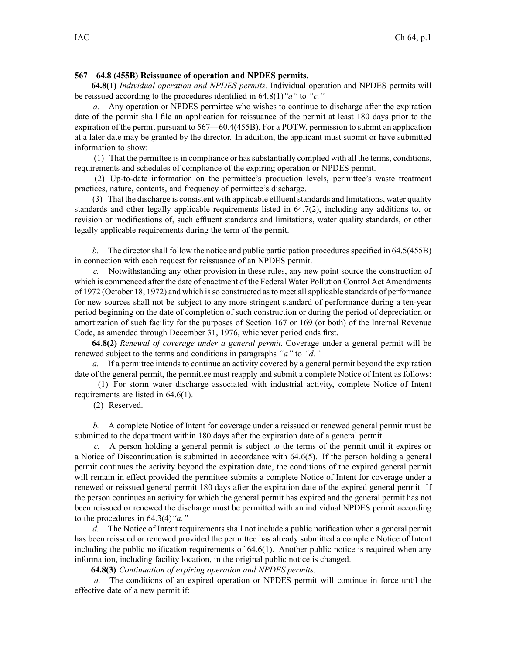## **567—64.8 (455B) Reissuance of operation and NPDES permits.**

**64.8(1)** *Individual operation and NPDES permits.* Individual operation and NPDES permits will be reissued according to the procedures identified in 64.8(1)*"a"* to *"c."*

*a.* Any operation or NPDES permittee who wishes to continue to discharge after the expiration date of the permit shall file an application for reissuance of the permit at least 180 days prior to the expiration of the permit pursuan<sup>t</sup> to 567—60.4(455B). For <sup>a</sup> POTW, permission to submit an application at <sup>a</sup> later date may be granted by the director. In addition, the applicant must submit or have submitted information to show:

(1) That the permittee isin compliance or hassubstantially complied with all the terms, conditions, requirements and schedules of compliance of the expiring operation or NPDES permit.

(2) Up-to-date information on the permittee's production levels, permittee's waste treatment practices, nature, contents, and frequency of permittee's discharge.

(3) That the discharge is consistent with applicable effluent standards and limitations, water quality standards and other legally applicable requirements listed in 64.7(2), including any additions to, or revision or modifications of, such effluent standards and limitations, water quality standards, or other legally applicable requirements during the term of the permit.

*b.* The director shall follow the notice and public participation procedures specified in 64.5(455B) in connection with each reques<sup>t</sup> for reissuance of an NPDES permit.

*c.* Notwithstanding any other provision in these rules, any new point source the construction of which is commenced after the date of enactment of the Federal Water Pollution Control Act Amendments of 1972 (October 18, 1972) and which isso constructed asto meet all applicable standards of performance for new sources shall not be subject to any more stringent standard of performance during <sup>a</sup> ten-year period beginning on the date of completion of such construction or during the period of depreciation or amortization of such facility for the purposes of Section 167 or 169 (or both) of the Internal Revenue Code, as amended through December 31, 1976, whichever period ends first.

**64.8(2)** *Renewal of coverage under <sup>a</sup> general permit.* Coverage under <sup>a</sup> general permit will be renewed subject to the terms and conditions in paragraphs *"a"* to *"d."*

*a.* If <sup>a</sup> permittee intends to continue an activity covered by <sup>a</sup> general permit beyond the expiration date of the general permit, the permittee must reapply and submit a complete Notice of Intent as follows:

(1) For storm water discharge associated with industrial activity, complete Notice of Intent requirements are listed in 64.6(1).

(2) Reserved.

*b.* A complete Notice of Intent for coverage under <sup>a</sup> reissued or renewed general permit must be submitted to the department within 180 days after the expiration date of <sup>a</sup> general permit.

*c.* A person holding <sup>a</sup> general permit is subject to the terms of the permit until it expires or <sup>a</sup> Notice of Discontinuation is submitted in accordance with 64.6(5). If the person holding <sup>a</sup> general permit continues the activity beyond the expiration date, the conditions of the expired general permit will remain in effect provided the permittee submits <sup>a</sup> complete Notice of Intent for coverage under <sup>a</sup> renewed or reissued general permit 180 days after the expiration date of the expired general permit. If the person continues an activity for which the general permit has expired and the general permit has not been reissued or renewed the discharge must be permitted with an individual NPDES permit according to the procedures in 64.3(4)*"a."*

*d.* The Notice of Intent requirements shall not include <sup>a</sup> public notification when <sup>a</sup> general permit has been reissued or renewed provided the permittee has already submitted <sup>a</sup> complete Notice of Intent including the public notification requirements of 64.6(1). Another public notice is required when any information, including facility location, in the original public notice is changed.

**64.8(3)** *Continuation of expiring operation and NPDES permits.*

*a.* The conditions of an expired operation or NPDES permit will continue in force until the effective date of <sup>a</sup> new permit if: